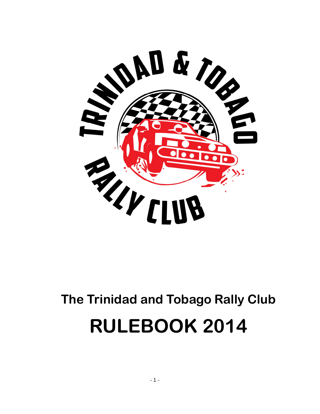

# **The Trinidad and Tobago Rally Club RULEBOOK 2014**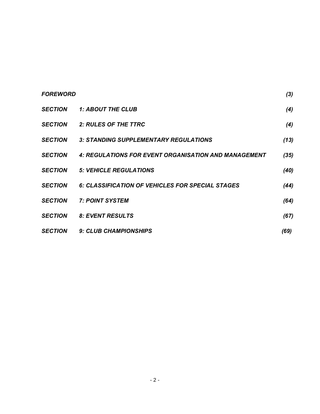| <b>FOREWORD</b> |                                                      | (3)  |
|-----------------|------------------------------------------------------|------|
| <b>SECTION</b>  | <b>1: ABOUT THE CLUB</b>                             | (4)  |
| <b>SECTION</b>  | <b>2: RULES OF THE TTRC</b>                          | (4)  |
| <b>SECTION</b>  | 3: STANDING SUPPLEMENTARY REGULATIONS                | (13) |
| <b>SECTION</b>  | 4: REGULATIONS FOR EVENT ORGANISATION AND MANAGEMENT | (35) |
| <b>SECTION</b>  | <b>5: VEHICLE REGULATIONS</b>                        | (40) |
| <b>SECTION</b>  | 6: CLASSIFICATION OF VEHICLES FOR SPECIAL STAGES     | (44) |
| <b>SECTION</b>  | <b>7: POINT SYSTEM</b>                               | (64) |
| <b>SECTION</b>  | 8: EVENT RESULTS                                     | (67) |
| <b>SECTION</b>  | <b>9: CLUB CHAMPIONSHIPS</b>                         | (69) |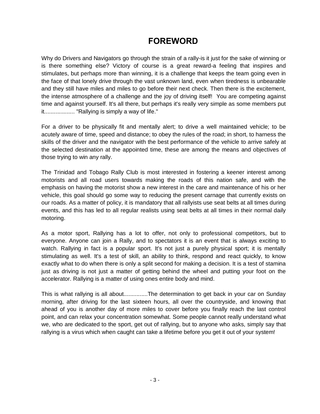# **FOREWORD**

Why do Drivers and Navigators go through the strain of a rally-is it just for the sake of winning or is there something else? Victory of course is a great reward-a feeling that inspires and stimulates, but perhaps more than winning, it is a challenge that keeps the team going even in the face of that lonely drive through the vast unknown land, even when tiredness is unbearable and they still have miles and miles to go before their next check. Then there is the excitement, the intense atmosphere of a challenge and the joy of driving itself! You are competing against time and against yourself. It's all there, but perhaps it's really very simple as some members put it................... "Rallying is simply a way of life."

For a driver to be physically fit and mentally alert; to drive a well maintained vehicle; to be acutely aware of time, speed and distance; to obey the rules of the road; in short, to harness the skills of the driver and the navigator with the best performance of the vehicle to arrive safely at the selected destination at the appointed time, these are among the means and objectives of those trying to win any rally.

The Trinidad and Tobago Rally Club is most interested in fostering a keener interest among motorists and all road users towards making the roads of this nation safe, and with the emphasis on having the motorist show a new interest in the care and maintenance of his or her vehicle, this goal should go some way to reducing the present carnage that currently exists on our roads. As a matter of policy, it is mandatory that all rallyists use seat belts at all times during events, and this has led to all regular realists using seat belts at all times in their normal daily motoring.

As a motor sport, Rallying has a lot to offer, not only to professional competitors, but to everyone. Anyone can join a Rally, and to spectators it is an event that is always exciting to watch. Rallying in fact is a popular sport. It's not just a purely physical sport; it is mentally stimulating as well. It's a test of skill, an ability to think, respond and react quickly, to know exactly what to do when there is only a split second for making a decision. It is a test of stamina just as driving is not just a matter of getting behind the wheel and putting your foot on the accelerator. Rallying is a matter of using ones entire body and mind.

This is what rallying is all about...............The determination to get back in your car on Sunday morning, after driving for the last sixteen hours, all over the countryside, and knowing that ahead of you is another day of more miles to cover before you finally reach the last control point, and can relax your concentration somewhat. Some people cannot really understand what we, who are dedicated to the sport, get out of rallying, but to anyone who asks, simply say that rallying is a virus which when caught can take a lifetime before you get it out of your system!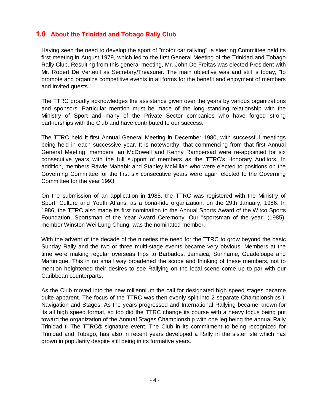## **1.0 About the Trinidad and Tobago Rally Club**

Having seen the need to develop the sport of "motor car rallying", a steering Committee held its first meeting in August 1979, which led to the first General Meeting of the Trinidad and Tobago Rally Club. Resulting from this general meeting, Mr. John De Freitas was elected President with Mr. Robert De Verteuil as Secretary/Treasurer. The main objective was and still is today, "to promote and organize competitive events in all forms for the benefit and enjoyment of members and invited guests."

The TTRC proudly acknowledges the assistance given over the years by various organizations and sponsors. Particular mention must be made of the long standing relationship with the Ministry of Sport and many of the Private Sector companies who have forged strong partnerships with the Club and have contributed to our success.

The TTRC held it first Annual General Meeting in December 1980, with successful meetings being held in each successive year. It is noteworthy, that commencing from that first Annual General Meeting, members Ian McDowell and Kenny Rampersad were re-appointed for six consecutive years with the full support of members as the TTRC's Honorary Auditors. In addition, members Rawle Mahabir and Stanley McMillan who were elected to positions on the Governing Committee for the first six consecutive years were again elected to the Governing Committee for the year 1993.

On the submission of an application in 1985, the TTRC was registered with the Ministry of Sport, Culture and Youth Affairs, as a bona-fide organization, on the 29th January, 1986. In 1986, the TTRC also made its first nomination to the Annual Sports Award of the Witco Sports Foundation, Sportsman of the Year Award Ceremony. Our "sportsman of the year" (1985), member Winston Wei Lung Chung, was the nominated member.

With the advent of the decade of the nineties the need for the TTRC to grow beyond the basic Sunday Rally and the two or three multi-stage events became very obvious. Members at the time were making regular overseas trips to Barbados, Jamaica, Suriname, Guadeloupe and Martinique. This in no small way broadened the scope and thinking of these members, not to mention heightened their desires to see Rallying on the local scene come up to par with our Caribbean counterparts.

As the Club moved into the new millennium the call for designated high speed stages became quite apparent. The focus of the TTRC was then evenly split into 2 separate Championships. Navigation and Stages. As the years progressed and International Rallying became known for its all high speed format, so too did the TTRC change its course with a heavy focus being put toward the organization of the Annual Stages Championship with one leg being the annual Rally Trinidad. The TTRC<sub>®</sub> signature event. The Club in its commitment to being recognized for Trinidad and Tobago, has also in recent years developed a Rally in the sister isle which has grown in popularity despite still being in its formative years.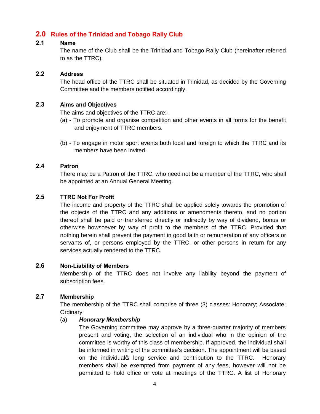## **2.0 Rules of the Trinidad and Tobago Rally Club**

#### **2.1 Name**

The name of the Club shall be the Trinidad and Tobago Rally Club (hereinafter referred to as the TTRC).

#### **2.2 Address**

The head office of the TTRC shall be situated in Trinidad, as decided by the Governing Committee and the members notified accordingly.

## **2.3 Aims and Objectives**

The aims and objectives of the TTRC are:-

- (a) To promote and organise competition and other events in all forms for the benefit and enjoyment of TTRC members.
- (b) To engage in motor sport events both local and foreign to which the TTRC and its members have been invited.

#### **2.4 Patron**

There may be a Patron of the TTRC, who need not be a member of the TTRC, who shall be appointed at an Annual General Meeting.

#### **2.5 TTRC Not For Profit**

The income and property of the TTRC shall be applied solely towards the promotion of the objects of the TTRC and any additions or amendments thereto, and no portion thereof shall be paid or transferred directly or indirectly by way of dividend, bonus or otherwise howsoever by way of profit to the members of the TTRC. Provided that nothing herein shall prevent the payment in good faith or remuneration of any officers or servants of, or persons employed by the TTRC, or other persons in return for any services actually rendered to the TTRC.

#### **2.6 Non-Liability of Members**

Membership of the TTRC does not involve any liability beyond the payment of subscription fees.

#### **2.7 Membership**

The membership of the TTRC shall comprise of three (3) classes: Honorary; Associate; Ordinary.

#### (a) *Honorary Membership*

The Governing committee may approve by a three-quarter majority of members present and voting, the selection of an individual who in the opinion of the committee is worthy of this class of membership. If approved, the individual shall be informed in writing of the committee's decision. The appointment will be based on the individual to long service and contribution to the TTRC. Honorary members shall be exempted from payment of any fees, however will not be permitted to hold office or vote at meetings of the TTRC. A list of Honorary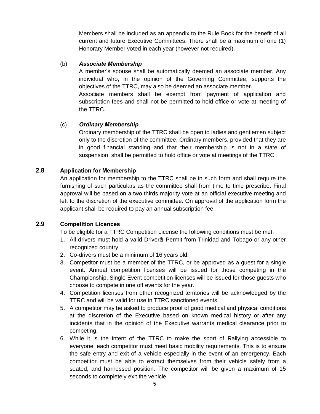Members shall be included as an appendix to the Rule Book for the benefit of all current and future Executive Committees. There shall be a maximum of one (1) Honorary Member voted in each year (however not required).

#### (b) *Associate Membership*

A member's spouse shall be automatically deemed an associate member. Any individual who, in the opinion of the Governing Committee, supports the objectives of the TTRC, may also be deemed an associate member.

Associate members shall be exempt from payment of application and subscription fees and shall not be permitted to hold office or vote at meeting of the TTRC.

#### (c) *Ordinary Membership*

Ordinary membership of the TTRC shall be open to ladies and gentlemen subject only to the discretion of the committee. Ordinary members, provided that they are in good financial standing and that their membership is not in a state of suspension, shall be permitted to hold office or vote at meetings of the TTRC.

## **2.8 Application for Membership**

An application for membership to the TTRC shall be in such form and shall require the furnishing of such particulars as the committee shall from time to time prescribe. Final approval will be based on a two thirds majority vote at an official executive meeting and left to the discretion of the executive committee. On approval of the application form the applicant shall be required to pay an annual subscription fee.

## **2.9 Competition Licences**

To be eligible for a TTRC Competition License the following conditions must be met.

- 1. All drivers must hold a valid Drivers Permit from Trinidad and Tobago or any other recognized country.
- 2. Co-drivers must be a minimum of 16 years old.
- 3. Competitor must be a member of the TTRC, or be approved as a guest for a single event. Annual competition licenses will be issued for those competing in the Championship. Single Event competition licenses will be issued for those guests who choose to compete in one off events for the year.
- 4. Competition licenses from other recognized territories will be acknowledged by the TTRC and will be valid for use in TTRC sanctioned events.
- 5. A competitor may be asked to produce proof of good medical and physical conditions at the discretion of the Executive based on known medical history or after any incidents that in the opinion of the Executive warrants medical clearance prior to competing.
- 6. While it is the intent of the TTRC to make the sport of Rallying accessible to everyone, each competitor must meet basic mobility requirements. This is to ensure the safe entry and exit of a vehicle especially in the event of an emergency. Each competitor must be able to extract themselves from their vehicle safely from a seated, and harnessed position. The competitor will be given a maximum of 15 seconds to completely exit the vehicle.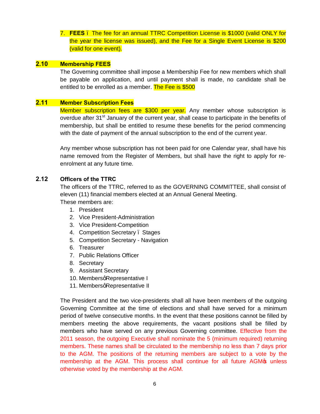7. **FEES** – The fee for an annual TTRC Competition License is \$1000 (valid ONLY for the year the license was issued), and the Fee for a Single Event License is \$200 (valid for one event).

#### **2.10 Membership FEES**

The Governing committee shall impose a Membership Fee for new members which shall be payable on application, and until payment shall is made, no candidate shall be entitled to be enrolled as a member. The Fee is \$500

#### **2.11 Member Subscription Fees**

Member subscription fees are \$300 per year. Any member whose subscription is overdue after 31<sup>st</sup> January of the current year, shall cease to participate in the benefits of membership, but shall be entitled to resume these benefits for the period commencing with the date of payment of the annual subscription to the end of the current year.

Any member whose subscription has not been paid for one Calendar year, shall have his name removed from the Register of Members, but shall have the right to apply for reenrolment at any future time.

## **2.12 Officers of the TTRC**

The officers of the TTRC, referred to as the GOVERNING COMMITTEE, shall consist of eleven (11) financial members elected at an Annual General Meeting.

These members are:

- 1. President
- 2. Vice President-Administration
- 3. Vice President-Competition
- 4. Competition Secretary . Stages
- 5. Competition Secretary Navigation
- 6. Treasurer
- 7. Public Relations Officer
- 8. Secretary
- 9. Assistant Secretary
- 10. MembersqRepresentative I
- 11. MembersgRepresentative II

The President and the two vice-presidents shall all have been members of the outgoing Governing Committee at the time of elections and shall have served for a minimum period of twelve consecutive months. In the event that these positions cannot be filled by members meeting the above requirements, the vacant positions shall be filled by members who have served on any previous Governing committee. Effective from the 2011 season, the outgoing Executive shall nominate the 5 (minimum required) returning members. These names shall be circulated to the membership no less than 7 days prior to the AGM. The positions of the returning members are subject to a vote by the membership at the AGM. This process shall continue for all future AGM $\phi$  unless otherwise voted by the membership at the AGM.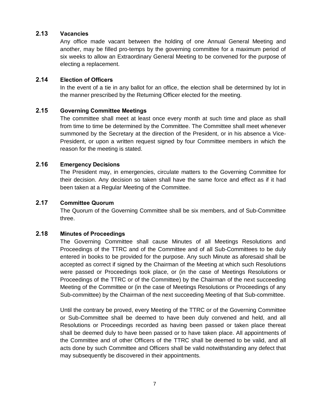#### **2.13 Vacancies**

Any office made vacant between the holding of one Annual General Meeting and another, may be filled pro-temps by the governing committee for a maximum period of six weeks to allow an Extraordinary General Meeting to be convened for the purpose of electing a replacement.

#### **2.14 Election of Officers**

In the event of a tie in any ballot for an office, the election shall be determined by lot in the manner prescribed by the Returning Officer elected for the meeting.

#### **2.15 Governing Committee Meetings**

The committee shall meet at least once every month at such time and place as shall from time to time be determined by the Committee. The Committee shall meet whenever summoned by the Secretary at the direction of the President, or in his absence a Vice-President, or upon a written request signed by four Committee members in which the reason for the meeting is stated.

#### **2.16 Emergency Decisions**

The President may, in emergencies, circulate matters to the Governing Committee for their decision. Any decision so taken shall have the same force and effect as if it had been taken at a Regular Meeting of the Committee.

## **2.17 Committee Quorum**

The Quorum of the Governing Committee shall be six members, and of Sub-Committee three.

#### **2.18 Minutes of Proceedings**

The Governing Committee shall cause Minutes of all Meetings Resolutions and Proceedings of the TTRC and of the Committee and of all Sub-Committees to be duly entered in books to be provided for the purpose. Any such Minute as aforesaid shall be accepted as correct if signed by the Chairman of the Meeting at which such Resolutions were passed or Proceedings took place, or (in the case of Meetings Resolutions or Proceedings of the TTRC or of the Committee) by the Chairman of the next succeeding Meeting of the Committee or (in the case of Meetings Resolutions or Proceedings of any Sub-committee) by the Chairman of the next succeeding Meeting of that Sub-committee.

Until the contrary be proved, every Meeting of the TTRC or of the Governing Committee or Sub-Committee shall be deemed to have been duly convened and held, and all Resolutions or Proceedings recorded as having been passed or taken place thereat shall be deemed duly to have been passed or to have taken place. All appointments of the Committee and of other Officers of the TTRC shall be deemed to be valid, and all acts done by such Committee and Officers shall be valid notwithstanding any defect that may subsequently be discovered in their appointments.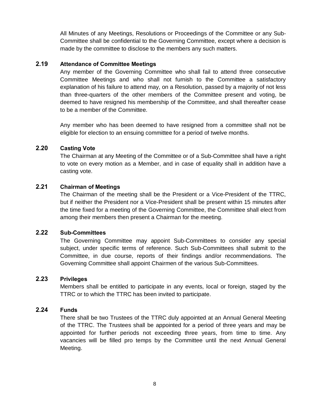All Minutes of any Meetings, Resolutions or Proceedings of the Committee or any Sub-Committee shall be confidential to the Governing Committee, except where a decision is made by the committee to disclose to the members any such matters.

#### **2.19 Attendance of Committee Meetings**

Any member of the Governing Committee who shall fail to attend three consecutive Committee Meetings and who shall not furnish to the Committee a satisfactory explanation of his failure to attend may, on a Resolution, passed by a majority of not less than three-quarters of the other members of the Committee present and voting, be deemed to have resigned his membership of the Committee, and shall thereafter cease to be a member of the Committee.

Any member who has been deemed to have resigned from a committee shall not be eligible for election to an ensuing committee for a period of twelve months.

#### **2.20 Casting Vote**

The Chairman at any Meeting of the Committee or of a Sub-Committee shall have a right to vote on every motion as a Member, and in case of equality shall in addition have a casting vote.

#### **2.21 Chairman of Meetings**

The Chairman of the meeting shall be the President or a Vice-President of the TTRC, but if neither the President nor a Vice-President shall be present within 15 minutes after the time fixed for a meeting of the Governing Committee, the Committee shall elect from among their members then present a Chairman for the meeting.

#### **2.22 Sub-Committees**

The Governing Committee may appoint Sub-Committees to consider any special subject, under specific terms of reference. Such Sub-Committees shall submit to the Committee, in due course, reports of their findings and/or recommendations. The Governing Committee shall appoint Chairmen of the various Sub-Committees.

#### **2.23 Privileges**

Members shall be entitled to participate in any events, local or foreign, staged by the TTRC or to which the TTRC has been invited to participate.

#### **2.24 Funds**

There shall be two Trustees of the TTRC duly appointed at an Annual General Meeting of the TTRC. The Trustees shall be appointed for a period of three years and may be appointed for further periods not exceeding three years, from time to time. Any vacancies will be filled pro temps by the Committee until the next Annual General Meeting.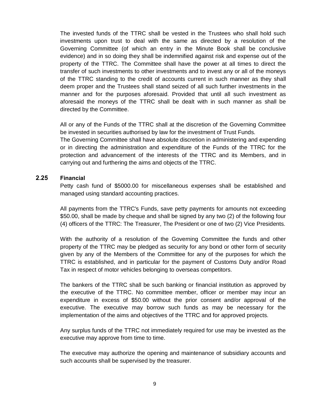The invested funds of the TTRC shall be vested in the Trustees who shall hold such investments upon trust to deal with the same as directed by a resolution of the Governing Committee (of which an entry in the Minute Book shall be conclusive evidence) and in so doing they shall be indemnified against risk and expense out of the property of the TTRC. The Committee shall have the power at all times to direct the transfer of such investments to other investments and to invest any or all of the moneys of the TTRC standing to the credit of accounts current in such manner as they shall deem proper and the Trustees shall stand seized of all such further investments in the manner and for the purposes aforesaid. Provided that until all such investment as aforesaid the moneys of the TTRC shall be dealt with in such manner as shall be directed by the Committee.

All or any of the Funds of the TTRC shall at the discretion of the Governing Committee be invested in securities authorised by law for the investment of Trust Funds.

The Governing Committee shall have absolute discretion in administering and expending or in directing the administration and expenditure of the Funds of the TTRC for the protection and advancement of the interests of the TTRC and its Members, and in carrying out and furthering the aims and objects of the TTRC.

#### **2.25 Financial**

Petty cash fund of \$5000.00 for miscellaneous expenses shall be established and managed using standard accounting practices.

All payments from the TTRC's Funds, save petty payments for amounts not exceeding \$50.00, shall be made by cheque and shall be signed by any two (2) of the following four (4) officers of the TTRC: The Treasurer, The President or one of two (2) Vice Presidents.

With the authority of a resolution of the Governing Committee the funds and other property of the TTRC may be pledged as security for any bond or other form of security given by any of the Members of the Committee for any of the purposes for which the TTRC is established, and in particular for the payment of Customs Duty and/or Road Tax in respect of motor vehicles belonging to overseas competitors.

The bankers of the TTRC shall be such banking or financial institution as approved by the executive of the TTRC. No committee member, officer or member may incur an expenditure in excess of \$50.00 without the prior consent and/or approval of the executive. The executive may borrow such funds as may be necessary for the implementation of the aims and objectives of the TTRC and for approved projects.

Any surplus funds of the TTRC not immediately required for use may be invested as the executive may approve from time to time.

The executive may authorize the opening and maintenance of subsidiary accounts and such accounts shall be supervised by the treasurer.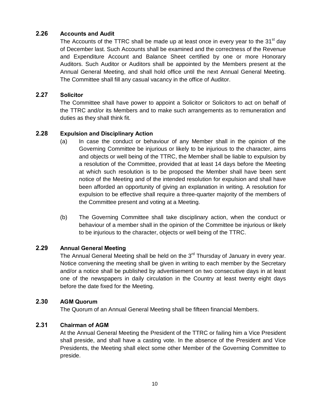#### **2.26 Accounts and Audit**

The Accounts of the TTRC shall be made up at least once in every year to the 31<sup>st</sup> day of December last. Such Accounts shall be examined and the correctness of the Revenue and Expenditure Account and Balance Sheet certified by one or more Honorary Auditors. Such Auditor or Auditors shall be appointed by the Members present at the Annual General Meeting, and shall hold office until the next Annual General Meeting. The Committee shall fill any casual vacancy in the office of Auditor.

#### **2.27 Solicitor**

The Committee shall have power to appoint a Solicitor or Solicitors to act on behalf of the TTRC and/or its Members and to make such arrangements as to remuneration and duties as they shall think fit.

#### **2.28 Expulsion and Disciplinary Action**

- (a) In case the conduct or behaviour of any Member shall in the opinion of the Governing Committee be injurious or likely to be injurious to the character, aims and objects or well being of the TTRC, the Member shall be liable to expulsion by a resolution of the Committee, provided that at least 14 days before the Meeting at which such resolution is to be proposed the Member shall have been sent notice of the Meeting and of the intended resolution for expulsion and shall have been afforded an opportunity of giving an explanation in writing. A resolution for expulsion to be effective shall require a three-quarter majority of the members of the Committee present and voting at a Meeting.
- (b) The Governing Committee shall take disciplinary action, when the conduct or behaviour of a member shall in the opinion of the Committee be injurious or likely to be injurious to the character, objects or well being of the TTRC.

#### **2.29 Annual General Meeting**

The Annual General Meeting shall be held on the  $3<sup>rd</sup>$  Thursday of January in every year. Notice convening the meeting shall be given in writing to each member by the Secretary and/or a notice shall be published by advertisement on two consecutive days in at least one of the newspapers in daily circulation in the Country at least twenty eight days before the date fixed for the Meeting.

#### **2.30 AGM Quorum**

The Quorum of an Annual General Meeting shall be fifteen financial Members.

## **2.31 Chairman of AGM**

At the Annual General Meeting the President of the TTRC or failing him a Vice President shall preside, and shall have a casting vote. In the absence of the President and Vice Presidents, the Meeting shall elect some other Member of the Governing Committee to preside.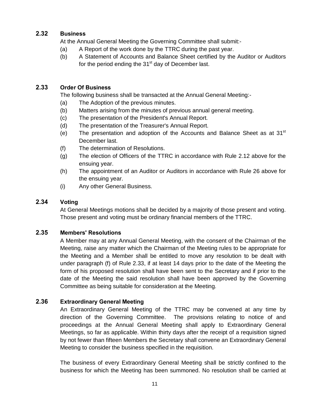## **2.32 Business**

At the Annual General Meeting the Governing Committee shall submit:-

- (a) A Report of the work done by the TTRC during the past year.
- (b) A Statement of Accounts and Balance Sheet certified by the Auditor or Auditors for the period ending the  $31<sup>st</sup>$  day of December last.

## **2.33 Order Of Business**

The following business shall be transacted at the Annual General Meeting:-

- (a) The Adoption of the previous minutes.
- (b) Matters arising from the minutes of previous annual general meeting.
- (c) The presentation of the President's Annual Report.
- (d) The presentation of the Treasurer's Annual Report.
- (e) The presentation and adoption of the Accounts and Balance Sheet as at  $31<sup>st</sup>$ December last.
- (f) The determination of Resolutions.
- (g) The election of Officers of the TTRC in accordance with Rule 2.12 above for the ensuing year.
- (h) The appointment of an Auditor or Auditors in accordance with Rule 26 above for the ensuing year.
- (i) Any other General Business.

## **2.34 Voting**

At General Meetings motions shall be decided by a majority of those present and voting. Those present and voting must be ordinary financial members of the TTRC.

## **2.35 Members' Resolutions**

A Member may at any Annual General Meeting, with the consent of the Chairman of the Meeting, raise any matter which the Chairman of the Meeting rules to be appropriate for the Meeting and a Member shall be entitled to move any resolution to be dealt with under paragraph (f) of Rule 2.33, if at least 14 days prior to the date of the Meeting the form of his proposed resolution shall have been sent to the Secretary and if prior to the date of the Meeting the said resolution shall have been approved by the Governing Committee as being suitable for consideration at the Meeting.

## **2.36 Extraordinary General Meeting**

An Extraordinary General Meeting of the TTRC may be convened at any time by direction of the Governing Committee. The provisions relating to notice of and proceedings at the Annual General Meeting shall apply to Extraordinary General Meetings, so far as applicable. Within thirty days after the receipt of a requisition signed by not fewer than fifteen Members the Secretary shall convene an Extraordinary General Meeting to consider the business specified in the requisition.

The business of every Extraordinary General Meeting shall be strictly confined to the business for which the Meeting has been summoned. No resolution shall be carried at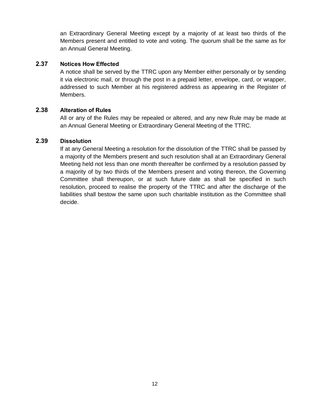an Extraordinary General Meeting except by a majority of at least two thirds of the Members present and entitled to vote and voting. The quorum shall be the same as for an Annual General Meeting.

#### **2.37 Notices How Effected**

A notice shall be served by the TTRC upon any Member either personally or by sending it via electronic mail, or through the post in a prepaid letter, envelope, card, or wrapper, addressed to such Member at his registered address as appearing in the Register of Members.

#### **2.38 Alteration of Rules**

All or any of the Rules may be repealed or altered, and any new Rule may be made at an Annual General Meeting or Extraordinary General Meeting of the TTRC.

#### **2.39 Dissolution**

If at any General Meeting a resolution for the dissolution of the TTRC shall be passed by a majority of the Members present and such resolution shall at an Extraordinary General Meeting held not less than one month thereafter be confirmed by a resolution passed by a majority of by two thirds of the Members present and voting thereon, the Governing Committee shall thereupon, or at such future date as shall be specified in such resolution, proceed to realise the property of the TTRC and after the discharge of the liabilities shall bestow the same upon such charitable institution as the Committee shall decide.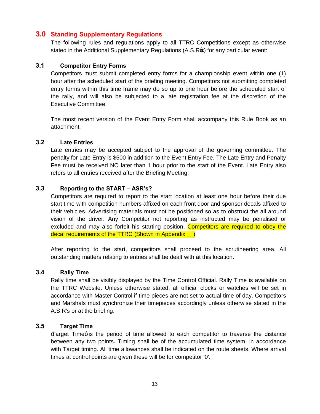## **3.0 Standing Supplementary Regulations**

The following rules and regulations apply to all TTRC Competitions except as otherwise stated in the Additional Supplementary Regulations (A.S.R<sub>\$</sub>) for any particular event:

#### **3.1 Competitor Entry Forms**

Competitors must submit completed entry forms for a championship event within one (1) hour after the scheduled start of the briefing meeting. Competitors not submitting completed entry forms within this time frame may do so up to one hour before the scheduled start of the rally, and will also be subjected to a late registration fee at the discretion of the Executive Committee.

The most recent version of the Event Entry Form shall accompany this Rule Book as an attachment.

## **3.2 Late Entries**

Late entries may be accepted subject to the approval of the governing committee. The penalty for Late Entry is \$500 in addition to the Event Entry Fee. The Late Entry and Penalty Fee must be received NO later than 1 hour prior to the start of the Event. Late Entry also refers to all entries received after the Briefing Meeting.

#### **3.3 Reporting to the START – ASR's?**

Competitors are required to report to the start location at least one hour before their due start time with competition numbers affixed on each front door and sponsor decals affixed to their vehicles. Advertising materials must not be positioned so as to obstruct the all around vision of the driver. Any Competitor not reporting as instructed may be penalised or excluded and may also forfeit his starting position. Competitors are required to obey the decal requirements of the TTRC (Shown in Appendix \_\_)

After reporting to the start, competitors shall proceed to the scrutineering area. All outstanding matters relating to entries shall be dealt with at this location.

#### **3.4 Rally Time**

Rally time shall be visibly displayed by the Time Control Official. Rally Time is available on the TTRC Website. Unless otherwise stated, all official clocks or watches will be set in accordance with Master Control if time-pieces are not set to actual time of day. Competitors and Marshals must synchronize their timepieces accordingly unless otherwise stated in the A.S.R's or at the briefing.

#### **3.5 Target Time**

Exarget Timeg is the period of time allowed to each competitor to traverse the distance between any two points**.** Timing shall be of the accumulated time system, in accordance with Target timing. All time allowances shall be indicated on the route sheets. Where arrival times at control points are given these will be for competitor '0'.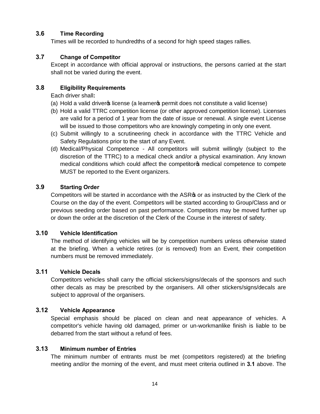## **3.6 Time Recording**

Times will be recorded to hundredths of a second for high speed stages rallies.

## **3.7 Change of Competitor**

Except in accordance with official approval or instructions, the persons carried at the start shall not be varied during the event.

## **3.8 Eligibility Requirements**

Each driver shall**:**

- (a) Hold a valid driver icense (a learner is permit does not constitute a valid license)
- (b) Hold a valid TTRC competition license (or other approved competition license). Licenses are valid for a period of 1 year from the date of issue or renewal. A single event License will be issued to those competitors who are knowingly competing in only one event.
- (c) Submit willingly to a scrutineering check in accordance with the TTRC Vehicle and Safety Regulations prior to the start of any Event.
- (d) Medical/Physical Competence All competitors will submit willingly (subject to the discretion of the TTRC) to a medical check and/or a physical examination. Any known medical conditions which could affect the competitor of medical competence to compete MUST be reported to the Event organizers.

## **3.9 Starting Order**

Competitors will be started in accordance with the ASR<sup>®</sup> or as instructed by the Clerk of the Course on the day of the event. Competitors will be started according to Group/Class and or previous seeding order based on past performance. Competitors may be moved further up or down the order at the discretion of the Clerk of the Course in the interest of safety.

## **3.10 Vehicle Identification**

The method of identifying vehicles will be by competition numbers unless otherwise stated at the briefing. When a vehicle retires (or is removed) from an Event, their competition numbers must be removed immediately.

## **3.11 Vehicle Decals**

Competitors vehicles shall carry the official stickers/signs/decals of the sponsors and such other decals as may be prescribed by the organisers. All other stickers/signs/decals are subject to approval of the organisers.

## **3.12 Vehicle Appearance**

Special emphasis should be placed on clean and neat appearance of vehicles. A competitor's vehicle having old damaged, primer or un-workmanlike finish is liable to be debarred from the start without a refund of fees.

## **3.13 Minimum number of Entries**

The minimum number of entrants must be met (competitors registered) at the briefing meeting and/or the morning of the event, and must meet criteria outlined in **3.1** above. The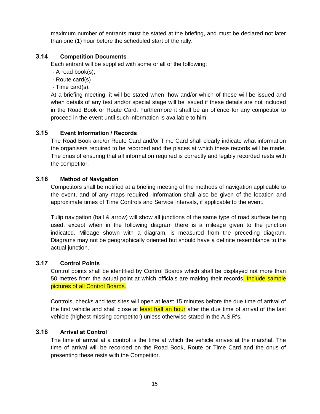maximum number of entrants must be stated at the briefing, and must be declared not later than one (1) hour before the scheduled start of the rally.

#### **3.14 Competition Documents**

Each entrant will be supplied with some or all of the following:

- A road book(s),
- Route card(s)
- Time card(s).

At a briefing meeting, it will be stated when, how and/or which of these will be issued and when details of any test and/or special stage will be issued if these details are not included in the Road Book or Route Card. Furthermore it shall be an offence for any competitor to proceed in the event until such information is available to him.

#### **3.15 Event Information / Records**

The Road Book and/or Route Card and/or Time Card shall clearly indicate what information the organisers required to be recorded and the places at which these records will be made. The onus of ensuring that all information required is correctly and legibly recorded rests with the competitor.

#### **3.16 Method of Navigation**

Competitors shall be notified at a briefing meeting of the methods of navigation applicable to the event, and of any maps required. Information shall also be given of the location and approximate times of Time Controls and Service Intervals, if applicable to the event.

Tulip navigation (ball & arrow) will show all junctions of the same type of road surface being used, except when in the following diagram there is a mileage given to the junction indicated. Mileage shown with a diagram, is measured from the preceding diagram. Diagrams may not be geographically oriented but should have a definite resemblance to the actual junction.

#### **3.17 Control Points**

Control points shall be identified by Control Boards which shall be displayed not more than 50 metres from the actual point at which officials are making their records. Include sample pictures of all Control Boards.

Controls, checks and test sites will open at least 15 minutes before the due time of arrival of the first vehicle and shall close at least half an hour after the due time of arrival of the last vehicle (highest missing competitor) unless otherwise stated in the A.S.R's.

#### **3.18 Arrival at Control**

The time of arrival at a control is the time at which the vehicle arrives at the marshal. The time of arrival will be recorded on the Road Book, Route or Time Card and the onus of presenting these rests with the Competitor.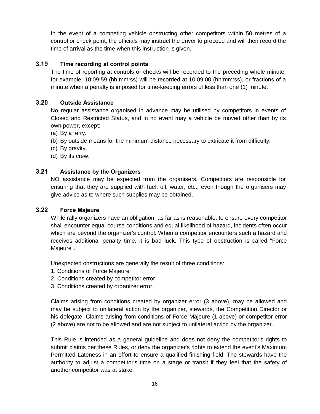In the event of a competing vehicle obstructing other competitors within 50 metres of a control or check point, the officials may instruct the driver to proceed and will then record the time of arrival as the time when this instruction is given.

## **3.19 Time recording at control points**

The time of reporting at controls or checks will be recorded to the preceding whole minute, for example: 10:09:59 (hh:mm:ss) will be recorded at 10:09:00 (hh:mm:ss), or fractions of a minute when a penalty is imposed for time-keeping errors of less than one (1) minute.

## **3.20 Outside Assistance**

No regular assistance organised in advance may be utilised by competitors in events of Closed and Restricted Status, and in no event may a vehicle be moved other than by its own power, except:

- (a) By a ferry.
- (b) By outside means for the minimum distance necessary to extricate it from difficulty.
- (c) By gravity.
- (d) By its crew.

## **3.21 Assistance by the Organizers**

NO assistance may be expected from the organisers. Competitors are responsible for ensuring that they are supplied with fuel, oil, water, etc., even though the organisers may give advice as to where such supplies may be obtained.

## **3.22 Force Majeure**

While rally organizers have an obligation, as far as is reasonable, to ensure every competitor shall encounter equal course conditions and equal likelihood of hazard, incidents often occur which are beyond the organizer's control. When a competitor encounters such a hazard and receives additional penalty time, it is bad luck. This type of obstruction is called "Force Majeure".

Unexpected obstructions are generally the result of three conditions:

- 1. Conditions of Force Majeure
- 2. Conditions created by competitor error
- 3. Conditions created by organizer error.

Claims arising from conditions created by organizer error (3 above), may be allowed and may be subject to unilateral action by the organizer, stewards, the Competition Director or his delegate. Claims arising from conditions of Force Majeure (1 above) or competitor error (2 above) are not to be allowed and are not subject to unilateral action by the organizer.

This Rule is intended as a general guideline and does not deny the competitor's rights to submit claims per these Rules, or deny the organizer's rights to extend the event's Maximum Permitted Lateness in an effort to ensure a qualified finishing field. The stewards have the authority to adjust a competitor's time on a stage or transit if they feel that the safety of another competitor was at stake.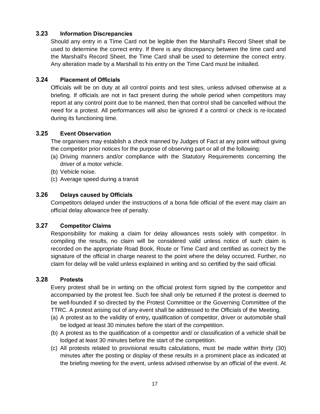#### **3.23 Information Discrepancies**

Should any entry in a Time Card not be legible then the Marshall's Record Sheet shall be used to determine the correct entry. If there is any discrepancy between the time card and the Marshall's Record Sheet, the Time Card shall be used to determine the correct entry. Any alteration made by a Marshall to his entry on the Time Card must be initialled.

#### **3.24 Placement of Officials**

Officials will be on duty at all control points and test sites, unless advised otherwise at a briefing. If officials are not in fact present during the whole period when competitors may report at any control point due to be manned, then that control shall be cancelled without the need for a protest. All performances will also be ignored if a control or check is re-located during its functioning time.

#### **3.25 Event Observation**

The organisers may establish a check manned by Judges of Fact at any point without giving the competitor prior notices for the purpose of observing part or all of the following:

- (a) Driving manners and/or compliance with the Statutory Requirements concerning the driver of a motor vehicle.
- (b) Vehicle noise.
- (c) Average speed during a transit

#### **3.26 Delays caused by Officials**

Competitors delayed under the instructions of a bona fide official of the event may claim an official delay allowance free of penalty.

#### **3.27 Competitor Claims**

Responsibility for making a claim for delay allowances rests solely with competitor. In compiling the results, no claim will be considered valid unless notice of such claim is recorded on the appropriate Road Book, Route or Time Card and certified as correct by the signature of the official in charge nearest to the point where the delay occurred. Further, no claim for delay will be valid unless explained in writing and so certified by the said official.

#### **3.28 Protests**

Every protest shall be in writing on the official protest form signed by the competitor and accompanied by the protest fee. Such fee shall only be returned if the protest is deemed to be well-founded if so directed by the Protest Committee or the Governing Committee of the TTRC. A protest arising out of any event shall be addressed to the Officials of the Meeting.

- 
- (a) A protest as to the validity of entry**,** qualification of competitor, driver or automobile shall be lodged at least 30 minutes before the start of the competition.
- (b) A protest as to the qualification of a competitor and/ or classification of a vehicle shall be lodged at least 30 minutes before the start of the competition.
- (c) All protests related to provisional results calculations, must be made within thirty (30) minutes after the posting or display of these results in a prominent place as indicated at the briefing meeting for the event, unless advised otherwise by an official of the event. At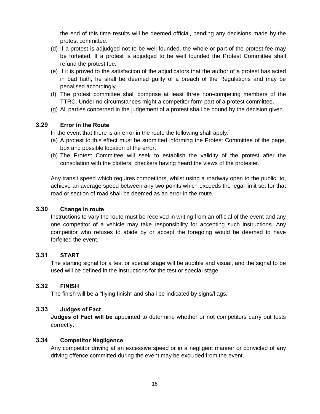the end of this time results will be deemed official, pending any decisions made by the protest committee.

- (d) If a protest is adjudged not to be well-founded, the whole or part of the protest fee may be forfeited. If a protest is adjudged to be well founded the Protest Committee shall refund the protest fee.
- (e) If it is proved to the satisfaction of the adjudicators that the author of a protest has acted in bad faith, he shall be deemed guilty of a breach of the Regulations and may be penalised accordingly.
- (f) The protest committee shall comprise at least three non-competing members of the TTRC. Under no circumstances might a competitor form part of a protest committee.
- (g) All parties concerned in the judgement of a protest shall be bound by the decision given.

#### **3.29 Error in the Route**

In the event that there is an error in the route the following shall apply:

- (a) A protest to this effect must be submitted informing the Protest Committee of the page, box and possible location of the error.
- (b) The Protest Committee will seek to establish the validity of the protest after the consolation with the plotters, checkers having heard the views of the protester.

Any transit speed which requires competitors, whilst using a roadway open to the public, to, achieve an average speed between any two points which exceeds the legal limit set for that road or section of road shall be deemed as an error in the route.

## **3.30 Change in route**

Instructions to vary the route must be received in writing from an official of the event and any one competitor of a vehicle may take responsibility for accepting such instructions. Any competitor who refuses to abide by or accept the foregoing would be deemed to have forfeited the event.

#### **3.31 START**

The starting signal for a test or special stage will be audible and visual, and the signal to be used will be defined in the instructions for the test or special stage.

## **3.32 FINISH**

The finish will be a "flying finish" and shall be indicated by signs/flags.

## **3.33 Judges of Fact**

**Judges of Fact will be** appointed to determine whether or not competitors carry out tests correctly.

#### **3.34 Competitor Negligence**

Any competitor driving at an excessive speed or in a negligent manner or convicted of any driving offence committed during the event may be excluded from the event.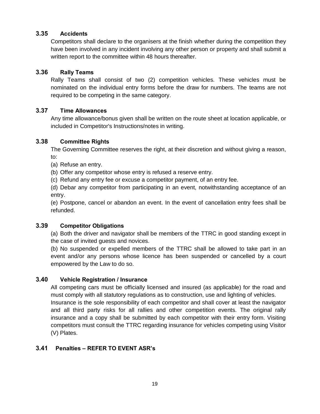#### **3.35 Accidents**

Competitors shall declare to the organisers at the finish whether during the competition they have been involved in any incident involving any other person or property and shall submit a written report to the committee within 48 hours thereafter.

#### **3.36 Rally Teams**

Rally Teams shall consist of two (2) competition vehicles. These vehicles must be nominated on the individual entry forms before the draw for numbers. The teams are not required to be competing in the same category.

## **3.37 Time Allowances**

Any time allowance/bonus given shall be written on the route sheet at location applicable, or included in Competitor's Instructions/notes in writing.

#### **3.38 Committee Rights**

The Governing Committee reserves the right, at their discretion and without giving a reason, to:

- (a) Refuse an entry.
- (b) Offer any competitor whose entry is refused a reserve entry.
- (c) Refund any entry fee or excuse a competitor payment, of an entry fee.

(d) Debar any competitor from participating in an event, notwithstanding acceptance of an entry.

(e) Postpone, cancel or abandon an event. In the event of cancellation entry fees shall be refunded.

#### **3.39 Competitor Obligations**

(a) Both the driver and navigator shall be members of the TTRC in good standing except in the case of invited guests and novices.

(b) No suspended or expelled members of the TTRC shall be allowed to take part in an event and/or any persons whose licence has been suspended or cancelled by a court empowered by the Law to do so.

## **3.40 Vehicle Registration / Insurance**

All competing cars must be officially licensed and insured (as applicable) for the road and must comply with all statutory regulations as to construction, use and lighting of vehicles. Insurance is the sole responsibility of each competitor and shall cover at least the navigator and all third party risks for all rallies and other competition events. The original rally insurance and a copy shall be submitted by each competitor with their entry form. Visiting competitors must consult the TTRC regarding insurance for vehicles competing using Visitor (V) Plates.

## **3.41 Penalties – REFER TO EVENT ASR's**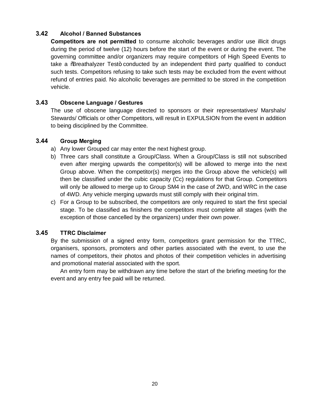## **3.42 Alcohol / Banned Substances**

**Competitors are not permitted** to consume alcoholic beverages and/or use illicit drugs during the period of twelve (12) hours before the start of the event or during the event. The governing committee and/or organizers may require competitors of High Speed Events to take a % reathalyzer Test+ conducted by an independent third party qualified to conduct such tests. Competitors refusing to take such tests may be excluded from the event without refund of entries paid. No alcoholic beverages are permitted to be stored in the competition vehicle.

#### **3.43 Obscene Language / Gestures**

The use of obscene language directed to sponsors or their representatives/ Marshals/ Stewards/ Officials or other Competitors, will result in EXPULSION from the event in addition to being disciplined by the Committee.

#### **3.44 Group Merging**

- a) Any lower Grouped car may enter the next highest group.
- b) Three cars shall constitute a Group/Class. When a Group/Class is still not subscribed even after merging upwards the competitor(s) will be allowed to merge into the next Group above. When the competitor(s) merges into the Group above the vehicle(s) will then be classified under the cubic capacity (Cc) regulations for that Group. Competitors will only be allowed to merge up to Group SM4 in the case of 2WD, and WRC in the case of 4WD*.* Any vehicle merging upwards must still comply with their original trim.
- c) For a Group to be subscribed, the competitors are only required to start the first special stage. To be classified as finishers the competitors must complete all stages (with the exception of those cancelled by the organizers) under their own power.

## **3.45 TTRC Disclaimer**

By the submission of a signed entry form, competitors grant permission for the TTRC, organisers, sponsors, promoters and other parties associated with the event, to use the names of competitors, their photos and photos of their competition vehicles in advertising and promotional material associated with the sport.

An entry form may be withdrawn any time before the start of the briefing meeting for the event and any entry fee paid will be returned.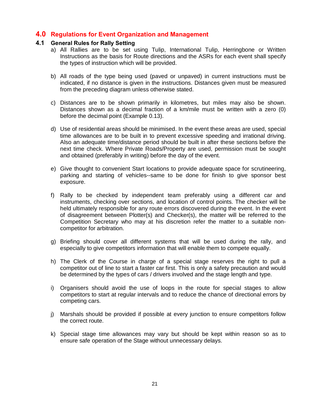## **4.0 Regulations for Event Organization and Management**

#### **4.1 General Rules for Rally Setting**

- a) All Rallies are to be set using Tulip, International Tulip, Herringbone or Written Instructions as the basis for Route directions and the ASRs for each event shall specify the types of instruction which will be provided.
- b) All roads of the type being used (paved or unpaved) in current instructions must be indicated, if no distance is given in the instructions. Distances given must be measured from the preceding diagram unless otherwise stated.
- c) Distances are to be shown primarily in kilometres, but miles may also be shown. Distances shown as a decimal fraction of a km/mile must be written with a zero (0) before the decimal point (Example 0.13).
- d) Use of residential areas should be minimised. In the event these areas are used, special time allowances are to be built in to prevent excessive speeding and irrational driving. Also an adequate time/distance period should be built in after these sections before the next time check. Where Private Roads/Property are used, permission must be sought and obtained (preferably in writing) before the day of the event.
- e) Give thought to convenient Start locations to provide adequate space for scrutineering, parking and starting of vehicles--same to be done for finish to give sponsor best exposure.
- f) Rally to be checked by independent team preferably using a different car and instruments, checking over sections, and location of control points. The checker will be held ultimately responsible for any route errors discovered during the event. In the event of disagreement between Plotter(s) and Checker(s), the matter will be referred to the Competition Secretary who may at his discretion refer the matter to a suitable noncompetitor for arbitration.
- g) Briefing should cover all different systems that will be used during the rally, and especially to give competitors information that will enable them to compete equally.
- h) The Clerk of the Course in charge of a special stage reserves the right to pull a competitor out of line to start a faster car first. This is only a safety precaution and would be determined by the types of cars / drivers involved and the stage length and type.
- i) Organisers should avoid the use of loops in the route for special stages to allow competitors to start at regular intervals and to reduce the chance of directional errors by competing cars.
- j) Marshals should be provided if possible at every junction to ensure competitors follow the correct route.
- k) Special stage time allowances may vary but should be kept within reason so as to ensure safe operation of the Stage without unnecessary delays.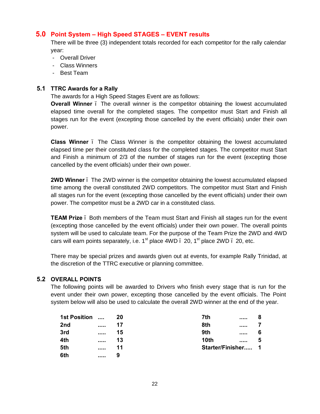## **5.0 Point System – High Speed STAGES – EVENT results**

There will be three (3) independent totals recorded for each competitor for the rally calendar year:

- Overall Driver
- Class Winners
- Best Team

## **5.1 TTRC Awards for a Rally**

The awards for a High Speed Stages Event are as follows:

**Overall Winner** . The overall winner is the competitor obtaining the lowest accumulated elapsed time overall for the completed stages. The competitor must Start and Finish all stages run for the event (excepting those cancelled by the event officials) under their own power.

**Class Winner** – The Class Winner is the competitor obtaining the lowest accumulated elapsed time per their constituted class for the completed stages. The competitor must Start and Finish a minimum of 2/3 of the number of stages run for the event (excepting those cancelled by the event officials) under their own power.

**2WD Winner** – The 2WD winner is the competitor obtaining the lowest accumulated elapsed time among the overall constituted 2WD competitors. The competitor must Start and Finish all stages run for the event (excepting those cancelled by the event officials) under their own power. The competitor must be a 2WD car in a constituted class.

**TEAM Prize** – Both members of the Team must Start and Finish all stages run for the event (excepting those cancelled by the event officials) under their own power. The overall points system will be used to calculate team. For the purpose of the Team Prize the 2WD and 4WD cars will earn points separately, i.e.  $1<sup>st</sup>$  place 4WD  $-$  20,  $1<sup>st</sup>$  place 2WD  $-$  20, etc.

There may be special prizes and awards given out at events, for example Rally Trinidad, at the discretion of the TTRC executive or planning committee.

## **5.2 OVERALL POINTS**

The following points will be awarded to Drivers who finish every stage that is run for the event under their own power, excepting those cancelled by the event officials. The Point system below will also be used to calculate the overall 2WD winner at the end of the year.

| <b>1st Position</b> | $\cdots$ |    | 7th<br>          |  |
|---------------------|----------|----|------------------|--|
| 2nd                 |          | 17 | 8th<br>          |  |
| 3rd                 |          | 15 | 9th<br>          |  |
| 4th                 |          | 13 | 10th<br>         |  |
| 5th                 |          | 11 | Starter/Finisher |  |
| 6th                 |          | 9  |                  |  |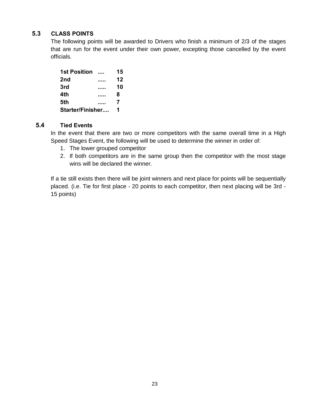## **5.3 CLASS POINTS**

The following points will be awarded to Drivers who finish a minimum of 2/3 of the stages that are run for the event under their own power, excepting those cancelled by the event officials.

| <b>1st Position</b> |   | 15 |
|---------------------|---|----|
| 2nd                 |   | 12 |
| 3rd                 |   | 10 |
| 4th                 |   | 8  |
| 5th                 |   | 7  |
| Starter/Finisher    | 1 |    |

## **5.4 Tied Events**

In the event that there are two or more competitors with the same overall time in a High Speed Stages Event, the following will be used to determine the winner in order of:

- 1. The lower grouped competitor
- 2. If both competitors are in the same group then the competitor with the most stage wins will be declared the winner.

If a tie still exists then there will be joint winners and next place for points will be sequentially placed. (i.e. Tie for first place - 20 points to each competitor, then next placing will be 3rd - 15 points)